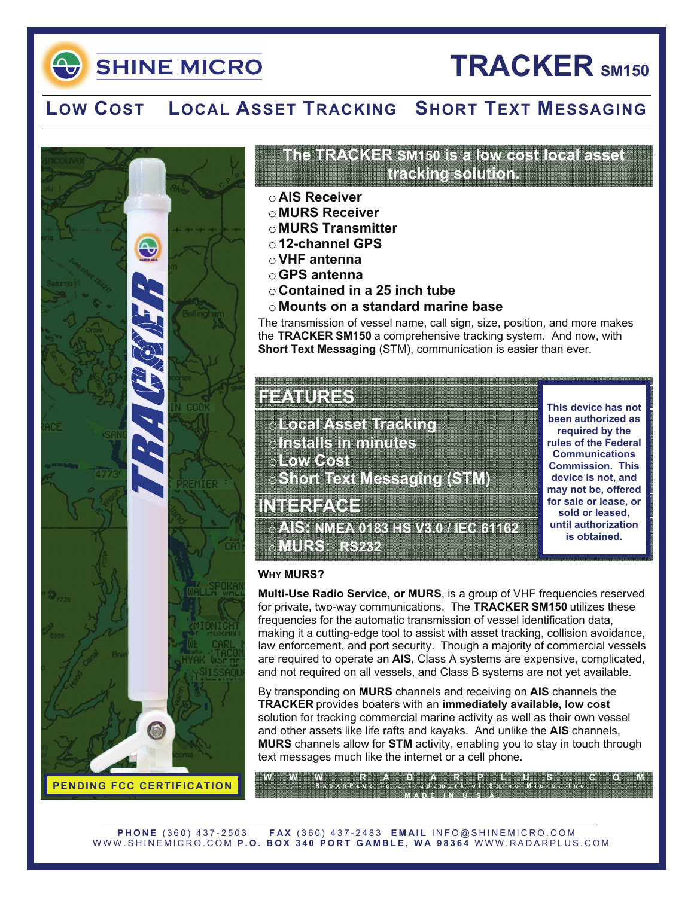**SHINE MICRO** 

# **TRACKER SM150**

## **LOW COST LOCAL ASSET TRACKING SHORT TEXT MESSAGING**



### **The TRACKER SM150 is a low cost local asset tracking solution.**

- o **AIS Receiver**
- o **MURS Receiver**
- o **MURS Transmitter**
- o **12-channel GPS**
- o**VHF antenna**
- o**GPS antenna**
- o **Contained in a 25 inch tube**
- o **Mounts on a standard marine base**

The transmission of vessel name, call sign, size, position, and more makes the **TRACKER SM150** a comprehensive tracking system. And now, with **Short Text Messaging** (STM), communication is easier than ever.

### **FEATURES**

o**Local Asset Tracking**  o**Installs in minutes**  o**Low Cost**  o**Short Text Messaging (STM)** 

**INTERFACE** 

o**AIS: NMEA 0183 HS V3.0 / IEC 61162**  o**MURS: RS232** 

**This device has not been authorized as required by the rules of the Federal Communications Commission. This device is not, and may not be, offered for sale or lease, or sold or leased, until authorization is obtained.** 

### **WHY MURS?**

**Multi-Use Radio Service, or MURS**, is a group of VHF frequencies reserved for private, two-way communications. The **TRACKER SM150** utilizes these frequencies for the automatic transmission of vessel identification data, making it a cutting-edge tool to assist with asset tracking, collision avoidance, law enforcement, and port security. Though a majority of commercial vessels are required to operate an **AIS**, Class A systems are expensive, complicated, and not required on all vessels, and Class B systems are not yet available.

By transponding on **MURS** channels and receiving on **AIS** channels the **TRACKER** provides boaters with an **immediately available, low cost** solution for tracking commercial marine activity as well as their own vessel and other assets like life rafts and kayaks. And unlike the **AIS** channels, **MURS** channels allow for **STM** activity, enabling you to stay in touch through text messages much like the internet or a cell phone.

**WWW.RADARPLUS.COM R ADAR P LUS is a trademark of Shine Micro, Inc.**  MADE <del>IN NEUROS A</del>

**PHONE** (360) 437-2503 **FAX** (360) 437-2483 **EMAIL** INFO@SHINEMICRO.COM WWW.SHINEMICRO.COM **P.O. BOX 340 PORT GAMBLE, WA 98364** WWW.RADARPLUS.COM